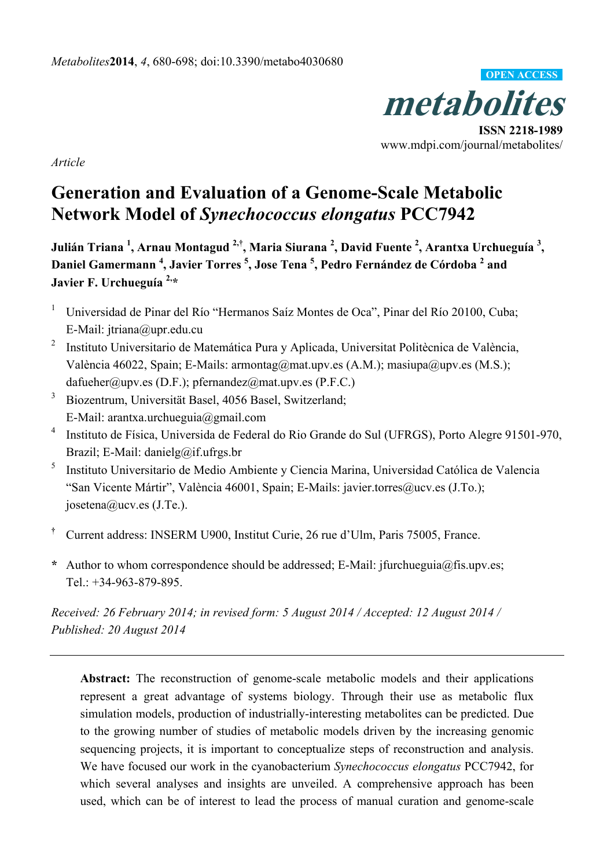

www.mdpi.com/journal/metabolites/

*Article* 

# **Generation and Evaluation of a Genome-Scale Metabolic Network Model of** *Synechococcus elongatus* **PCC7942**

**Julián Triana 1 , Arnau Montagud 2,†, Maria Siurana 2 , David Fuente <sup>2</sup> , Arantxa Urchueguía 3 , Daniel Gamermann 4 , Javier Torres <sup>5</sup> , Jose Tena 5 , Pedro Fernández de Córdoba <sup>2</sup> and Javier F. Urchueguía 2,\*** 

- 1 Universidad de Pinar del Río "Hermanos Saíz Montes de Oca", Pinar del Río 20100, Cuba; E-Mail: jtriana@upr.edu.cu
- 2 Instituto Universitario de Matemática Pura y Aplicada, Universitat Politècnica de València, València 46022, Spain; E-Mails: armontag@mat.upv.es (A.M.); masiupa@upv.es (M.S.); dafueher@upv.es (D.F.); pfernandez@mat.upv.es (P.F.C.)
- 3 Biozentrum, Universität Basel, 4056 Basel, Switzerland; E-Mail: arantxa.urchueguia@gmail.com
- <sup>4</sup> Instituto de Física, Universida de Federal do Rio Grande do Sul (UFRGS), Porto Alegre 91501-970, Brazil; E-Mail: danielg@if.ufrgs.br
- 5 Instituto Universitario de Medio Ambiente y Ciencia Marina, Universidad Católica de Valencia "San Vicente Mártir", València 46001, Spain; E-Mails: javier.torres@ucv.es (J.To.); josetena@ucv.es (J.Te.).
- **†** Current address: INSERM U900, Institut Curie, 26 rue d'Ulm, Paris 75005, France.
- **\*** Author to whom correspondence should be addressed; E-Mail: jfurchueguia@fis.upv.es; Tel.: +34-963-879-895.

*Received: 26 February 2014; in revised form: 5 August 2014 / Accepted: 12 August 2014 / Published: 20 August 2014* 

**Abstract:** The reconstruction of genome-scale metabolic models and their applications represent a great advantage of systems biology. Through their use as metabolic flux simulation models, production of industrially-interesting metabolites can be predicted. Due to the growing number of studies of metabolic models driven by the increasing genomic sequencing projects, it is important to conceptualize steps of reconstruction and analysis. We have focused our work in the cyanobacterium *Synechococcus elongatus* PCC7942, for which several analyses and insights are unveiled. A comprehensive approach has been used, which can be of interest to lead the process of manual curation and genome-scale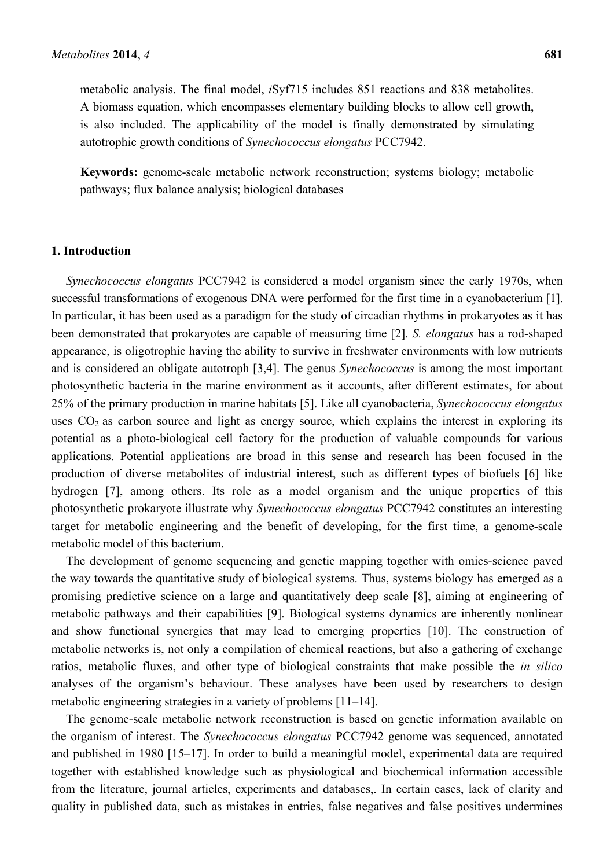metabolic analysis. The final model, *i*Syf715 includes 851 reactions and 838 metabolites. A biomass equation, which encompasses elementary building blocks to allow cell growth, is also included. The applicability of the model is finally demonstrated by simulating autotrophic growth conditions of *Synechococcus elongatus* PCC7942.

**Keywords:** genome-scale metabolic network reconstruction; systems biology; metabolic pathways; flux balance analysis; biological databases

# **1. Introduction**

*Synechococcus elongatus* PCC7942 is considered a model organism since the early 1970s, when successful transformations of exogenous DNA were performed for the first time in a cyanobacterium [1]. In particular, it has been used as a paradigm for the study of circadian rhythms in prokaryotes as it has been demonstrated that prokaryotes are capable of measuring time [2]. *S. elongatus* has a rod-shaped appearance, is oligotrophic having the ability to survive in freshwater environments with low nutrients and is considered an obligate autotroph [3,4]. The genus *Synechococcus* is among the most important photosynthetic bacteria in the marine environment as it accounts, after different estimates, for about 25% of the primary production in marine habitats [5]. Like all cyanobacteria, *Synechococcus elongatus* uses  $CO<sub>2</sub>$  as carbon source and light as energy source, which explains the interest in exploring its potential as a photo-biological cell factory for the production of valuable compounds for various applications. Potential applications are broad in this sense and research has been focused in the production of diverse metabolites of industrial interest, such as different types of biofuels [6] like hydrogen [7], among others. Its role as a model organism and the unique properties of this photosynthetic prokaryote illustrate why *Synechococcus elongatus* PCC7942 constitutes an interesting target for metabolic engineering and the benefit of developing, for the first time, a genome-scale metabolic model of this bacterium.

The development of genome sequencing and genetic mapping together with omics-science paved the way towards the quantitative study of biological systems. Thus, systems biology has emerged as a promising predictive science on a large and quantitatively deep scale [8], aiming at engineering of metabolic pathways and their capabilities [9]. Biological systems dynamics are inherently nonlinear and show functional synergies that may lead to emerging properties [10]. The construction of metabolic networks is, not only a compilation of chemical reactions, but also a gathering of exchange ratios, metabolic fluxes, and other type of biological constraints that make possible the *in silico*  analyses of the organism's behaviour. These analyses have been used by researchers to design metabolic engineering strategies in a variety of problems [11–14].

The genome-scale metabolic network reconstruction is based on genetic information available on the organism of interest. The *Synechococcus elongatus* PCC7942 genome was sequenced, annotated and published in 1980 [15–17]. In order to build a meaningful model, experimental data are required together with established knowledge such as physiological and biochemical information accessible from the literature, journal articles, experiments and databases,. In certain cases, lack of clarity and quality in published data, such as mistakes in entries, false negatives and false positives undermines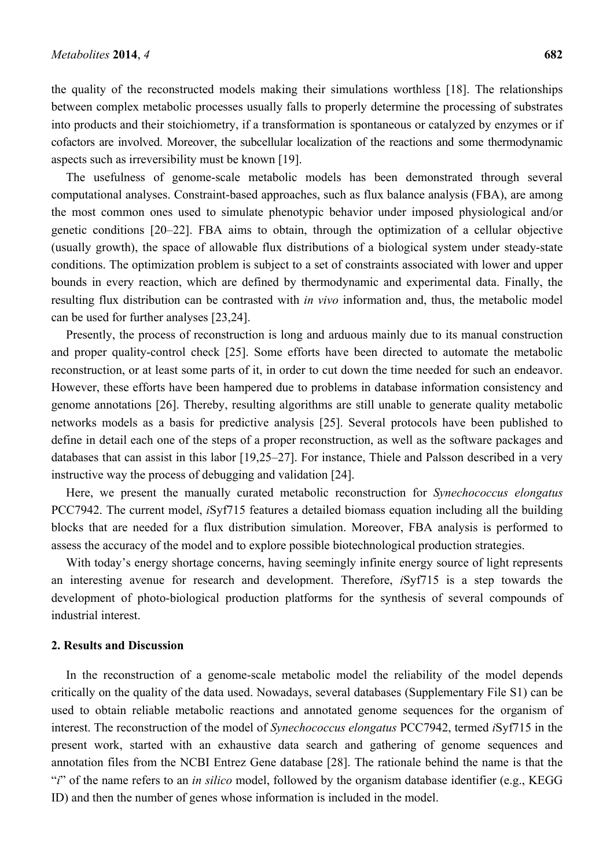the quality of the reconstructed models making their simulations worthless [18]. The relationships between complex metabolic processes usually falls to properly determine the processing of substrates into products and their stoichiometry, if a transformation is spontaneous or catalyzed by enzymes or if cofactors are involved. Moreover, the subcellular localization of the reactions and some thermodynamic aspects such as irreversibility must be known [19].

The usefulness of genome-scale metabolic models has been demonstrated through several computational analyses. Constraint-based approaches, such as flux balance analysis (FBA), are among the most common ones used to simulate phenotypic behavior under imposed physiological and/or genetic conditions [20–22]. FBA aims to obtain, through the optimization of a cellular objective (usually growth), the space of allowable flux distributions of a biological system under steady-state conditions. The optimization problem is subject to a set of constraints associated with lower and upper bounds in every reaction, which are defined by thermodynamic and experimental data. Finally, the resulting flux distribution can be contrasted with *in vivo* information and, thus, the metabolic model can be used for further analyses [23,24].

Presently, the process of reconstruction is long and arduous mainly due to its manual construction and proper quality-control check [25]. Some efforts have been directed to automate the metabolic reconstruction, or at least some parts of it, in order to cut down the time needed for such an endeavor. However, these efforts have been hampered due to problems in database information consistency and genome annotations [26]. Thereby, resulting algorithms are still unable to generate quality metabolic networks models as a basis for predictive analysis [25]. Several protocols have been published to define in detail each one of the steps of a proper reconstruction, as well as the software packages and databases that can assist in this labor [19,25–27]. For instance, Thiele and Palsson described in a very instructive way the process of debugging and validation [24].

Here, we present the manually curated metabolic reconstruction for *Synechococcus elongatus* PCC7942. The current model, *i*Syf715 features a detailed biomass equation including all the building blocks that are needed for a flux distribution simulation. Moreover, FBA analysis is performed to assess the accuracy of the model and to explore possible biotechnological production strategies.

With today's energy shortage concerns, having seemingly infinite energy source of light represents an interesting avenue for research and development. Therefore, *i*Syf715 is a step towards the development of photo-biological production platforms for the synthesis of several compounds of industrial interest.

#### **2. Results and Discussion**

In the reconstruction of a genome-scale metabolic model the reliability of the model depends critically on the quality of the data used. Nowadays, several databases (Supplementary File S1) can be used to obtain reliable metabolic reactions and annotated genome sequences for the organism of interest. The reconstruction of the model of *Synechococcus elongatus* PCC7942, termed *i*Syf715 in the present work, started with an exhaustive data search and gathering of genome sequences and annotation files from the NCBI Entrez Gene database [28]. The rationale behind the name is that the "*i*" of the name refers to an *in silico* model, followed by the organism database identifier (e.g., KEGG ID) and then the number of genes whose information is included in the model.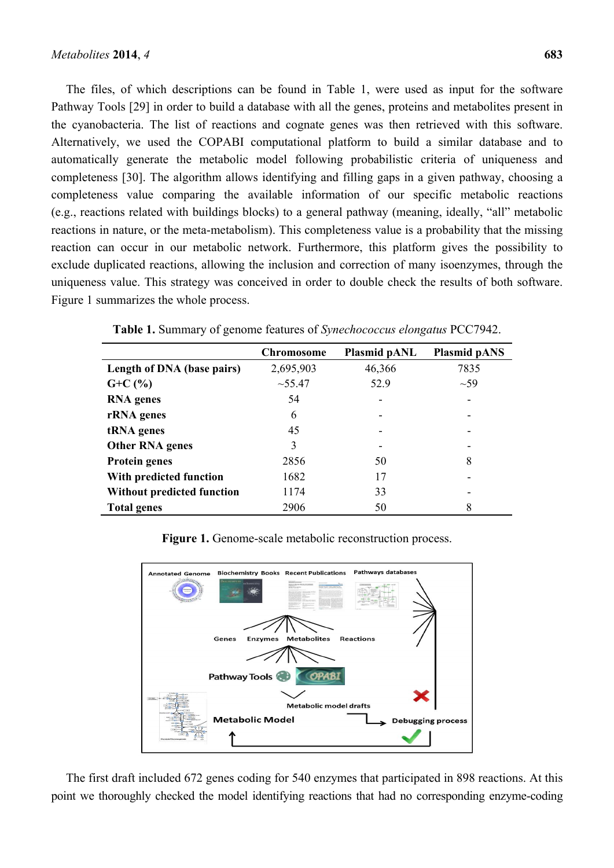The files, of which descriptions can be found in Table 1, were used as input for the software Pathway Tools [29] in order to build a database with all the genes, proteins and metabolites present in the cyanobacteria. The list of reactions and cognate genes was then retrieved with this software. Alternatively, we used the COPABI computational platform to build a similar database and to automatically generate the metabolic model following probabilistic criteria of uniqueness and completeness [30]. The algorithm allows identifying and filling gaps in a given pathway, choosing a completeness value comparing the available information of our specific metabolic reactions (e.g., reactions related with buildings blocks) to a general pathway (meaning, ideally, "all" metabolic reactions in nature, or the meta-metabolism). This completeness value is a probability that the missing reaction can occur in our metabolic network. Furthermore, this platform gives the possibility to exclude duplicated reactions, allowing the inclusion and correction of many isoenzymes, through the uniqueness value. This strategy was conceived in order to double check the results of both software. Figure 1 summarizes the whole process.

|                                   | <b>Chromosome</b> | Plasmid pANL             | <b>Plasmid pANS</b> |
|-----------------------------------|-------------------|--------------------------|---------------------|
| Length of DNA (base pairs)        | 2,695,903         | 46,366                   | 7835                |
| $G+C$ (%)                         | $\sim 55.47$      | 52.9                     | $\sim$ 59           |
| <b>RNA</b> genes                  | 54                | $\overline{\phantom{0}}$ | ۰                   |
| rRNA genes                        | 6                 | -                        |                     |
| tRNA genes                        | 45                | -                        | -                   |
| <b>Other RNA genes</b>            | 3                 |                          |                     |
| <b>Protein genes</b>              | 2856              | 50                       | 8                   |
| With predicted function           | 1682              | 17                       |                     |
| <b>Without predicted function</b> | 1174              | 33                       | -                   |
| <b>Total genes</b>                | 2906              | 50                       | 8                   |

**Table 1.** Summary of genome features of *Synechococcus elongatus* PCC7942.

**Figure 1.** Genome-scale metabolic reconstruction process.



The first draft included 672 genes coding for 540 enzymes that participated in 898 reactions. At this point we thoroughly checked the model identifying reactions that had no corresponding enzyme-coding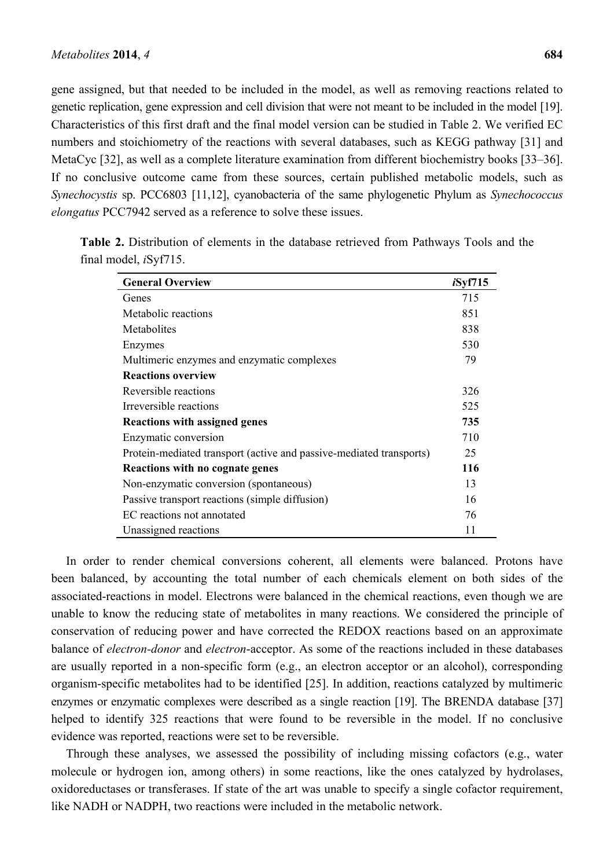gene assigned, but that needed to be included in the model, as well as removing reactions related to genetic replication, gene expression and cell division that were not meant to be included in the model [19]. Characteristics of this first draft and the final model version can be studied in Table 2. We verified EC numbers and stoichiometry of the reactions with several databases, such as KEGG pathway [31] and MetaCyc [32], as well as a complete literature examination from different biochemistry books [33–36]. If no conclusive outcome came from these sources, certain published metabolic models, such as *Synechocystis* sp. PCC6803 [11,12], cyanobacteria of the same phylogenetic Phylum as *Synechococcus elongatus* PCC7942 served as a reference to solve these issues.

**Table 2.** Distribution of elements in the database retrieved from Pathways Tools and the final model, *i*Syf715.

| <b>General Overview</b>                                             | iSyf715 |
|---------------------------------------------------------------------|---------|
| Genes                                                               | 715     |
| Metabolic reactions                                                 | 851     |
| Metabolites                                                         | 838     |
| Enzymes                                                             | 530     |
| Multimeric enzymes and enzymatic complexes                          | 79      |
| <b>Reactions overview</b>                                           |         |
| Reversible reactions                                                | 326     |
| Irreversible reactions                                              | 525     |
| <b>Reactions with assigned genes</b>                                |         |
| Enzymatic conversion                                                | 710     |
| Protein-mediated transport (active and passive-mediated transports) | 25      |
| Reactions with no cognate genes                                     | 116     |
| Non-enzymatic conversion (spontaneous)                              | 13      |
| Passive transport reactions (simple diffusion)                      |         |
| EC reactions not annotated                                          | 76      |
| Unassigned reactions                                                | 11      |

In order to render chemical conversions coherent, all elements were balanced. Protons have been balanced, by accounting the total number of each chemicals element on both sides of the associated-reactions in model. Electrons were balanced in the chemical reactions, even though we are unable to know the reducing state of metabolites in many reactions. We considered the principle of conservation of reducing power and have corrected the REDOX reactions based on an approximate balance of *electron-donor* and *electron*-acceptor. As some of the reactions included in these databases are usually reported in a non-specific form (e.g., an electron acceptor or an alcohol), corresponding organism-specific metabolites had to be identified [25]. In addition, reactions catalyzed by multimeric enzymes or enzymatic complexes were described as a single reaction [19]. The BRENDA database [37] helped to identify 325 reactions that were found to be reversible in the model. If no conclusive evidence was reported, reactions were set to be reversible.

Through these analyses, we assessed the possibility of including missing cofactors (e.g., water molecule or hydrogen ion, among others) in some reactions, like the ones catalyzed by hydrolases, oxidoreductases or transferases. If state of the art was unable to specify a single cofactor requirement, like NADH or NADPH, two reactions were included in the metabolic network.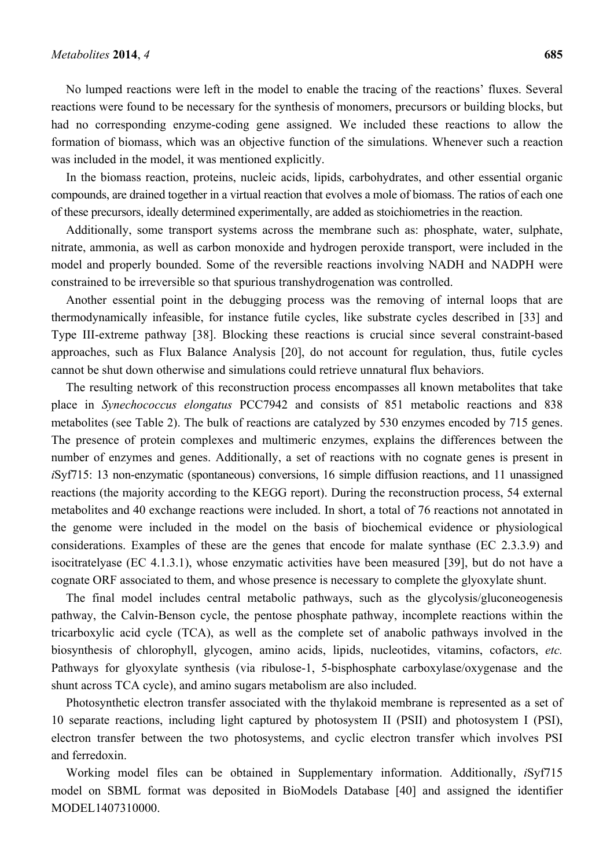No lumped reactions were left in the model to enable the tracing of the reactions' fluxes. Several reactions were found to be necessary for the synthesis of monomers, precursors or building blocks, but had no corresponding enzyme-coding gene assigned. We included these reactions to allow the formation of biomass, which was an objective function of the simulations. Whenever such a reaction was included in the model, it was mentioned explicitly.

In the biomass reaction, proteins, nucleic acids, lipids, carbohydrates, and other essential organic compounds, are drained together in a virtual reaction that evolves a mole of biomass. The ratios of each one of these precursors, ideally determined experimentally, are added as stoichiometries in the reaction.

Additionally, some transport systems across the membrane such as: phosphate, water, sulphate, nitrate, ammonia, as well as carbon monoxide and hydrogen peroxide transport, were included in the model and properly bounded. Some of the reversible reactions involving NADH and NADPH were constrained to be irreversible so that spurious transhydrogenation was controlled.

Another essential point in the debugging process was the removing of internal loops that are thermodynamically infeasible, for instance futile cycles, like substrate cycles described in [33] and Type III-extreme pathway [38]. Blocking these reactions is crucial since several constraint-based approaches, such as Flux Balance Analysis [20], do not account for regulation, thus, futile cycles cannot be shut down otherwise and simulations could retrieve unnatural flux behaviors.

The resulting network of this reconstruction process encompasses all known metabolites that take place in *Synechococcus elongatus* PCC7942 and consists of 851 metabolic reactions and 838 metabolites (see Table 2). The bulk of reactions are catalyzed by 530 enzymes encoded by 715 genes. The presence of protein complexes and multimeric enzymes, explains the differences between the number of enzymes and genes. Additionally, a set of reactions with no cognate genes is present in *i*Syf715: 13 non-enzymatic (spontaneous) conversions, 16 simple diffusion reactions, and 11 unassigned reactions (the majority according to the KEGG report). During the reconstruction process, 54 external metabolites and 40 exchange reactions were included. In short, a total of 76 reactions not annotated in the genome were included in the model on the basis of biochemical evidence or physiological considerations. Examples of these are the genes that encode for malate synthase (EC 2.3.3.9) and isocitratelyase (EC 4.1.3.1), whose enzymatic activities have been measured [39], but do not have a cognate ORF associated to them, and whose presence is necessary to complete the glyoxylate shunt.

The final model includes central metabolic pathways, such as the glycolysis/gluconeogenesis pathway, the Calvin-Benson cycle, the pentose phosphate pathway, incomplete reactions within the tricarboxylic acid cycle (TCA), as well as the complete set of anabolic pathways involved in the biosynthesis of chlorophyll, glycogen, amino acids, lipids, nucleotides, vitamins, cofactors, *etc.* Pathways for glyoxylate synthesis (via ribulose-1, 5-bisphosphate carboxylase/oxygenase and the shunt across TCA cycle), and amino sugars metabolism are also included.

Photosynthetic electron transfer associated with the thylakoid membrane is represented as a set of 10 separate reactions, including light captured by photosystem II (PSII) and photosystem I (PSI), electron transfer between the two photosystems, and cyclic electron transfer which involves PSI and ferredoxin.

Working model files can be obtained in Supplementary information. Additionally, *i*Syf715 model on SBML format was deposited in BioModels Database [40] and assigned the identifier MODEL1407310000.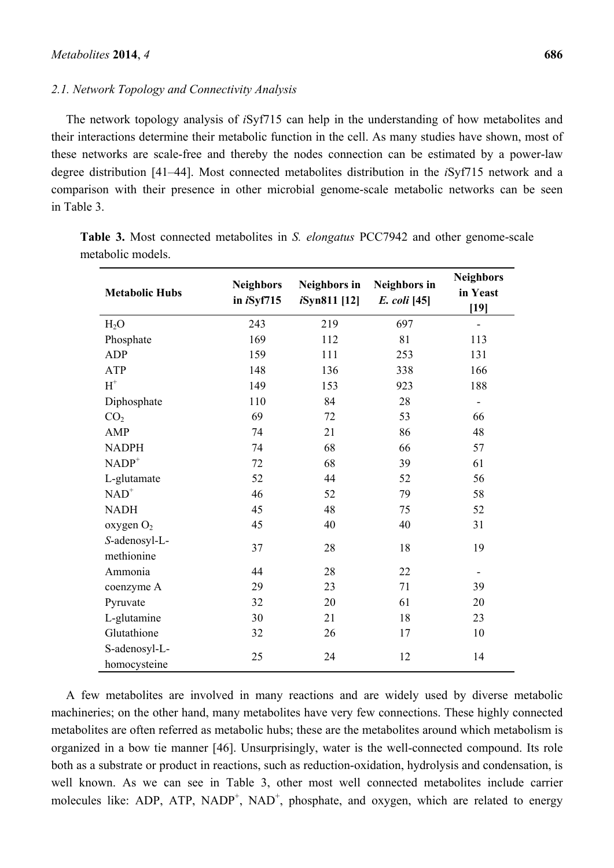# *2.1. Network Topology and Connectivity Analysis*

The network topology analysis of *i*Syf715 can help in the understanding of how metabolites and their interactions determine their metabolic function in the cell. As many studies have shown, most of these networks are scale-free and thereby the nodes connection can be estimated by a power-law degree distribution [41–44]. Most connected metabolites distribution in the *i*Syf715 network and a comparison with their presence in other microbial genome-scale metabolic networks can be seen in Table 3.

| <b>Metabolic Hubs</b>                    | <b>Neighbors</b><br>in $i$ Syf715 | <b>Neighbors in</b><br><i>i</i> Syn811 [12] | <b>Neighbors</b> in<br>E. coli [45] | <b>Neighbors</b><br>in Yeast<br>$[19]$ |
|------------------------------------------|-----------------------------------|---------------------------------------------|-------------------------------------|----------------------------------------|
| H <sub>2</sub> O                         | 243                               | 219                                         | 697                                 |                                        |
| Phosphate                                | 169                               | 112                                         | 81                                  | 113                                    |
| <b>ADP</b>                               | 159                               | 111                                         | 253                                 | 131                                    |
| <b>ATP</b>                               | 148                               | 136                                         | 338                                 | 166                                    |
| $\operatorname{H}^{\scriptscriptstyle+}$ | 149                               | 153                                         | 923                                 | 188                                    |
| Diphosphate                              | 110                               | 84                                          | 28                                  | $\overline{\phantom{0}}$               |
| CO <sub>2</sub>                          | 69                                | 72                                          | 53                                  | 66                                     |
| AMP                                      | 74                                | 21                                          | 86                                  | 48                                     |
| <b>NADPH</b>                             | 74                                | 68                                          | 66                                  | 57                                     |
| $NADP+$                                  | 72                                | 68                                          | 39                                  | 61                                     |
| L-glutamate                              | 52                                | 44                                          | 52                                  | 56                                     |
| $NAD^+$                                  | 46                                | 52                                          | 79                                  | 58                                     |
| <b>NADH</b>                              | 45                                | 48                                          | 75                                  | 52                                     |
| oxygen O <sub>2</sub>                    | 45                                | 40                                          | 40                                  | 31                                     |
| S-adenosyl-L-<br>methionine              | 37                                | 28                                          | 18                                  | 19                                     |
| Ammonia                                  | 44                                | 28                                          | 22                                  |                                        |
| coenzyme A                               | 29                                | 23                                          | 71                                  | 39                                     |
| Pyruvate                                 | 32                                | 20                                          | 61                                  | 20                                     |
| L-glutamine                              | 30                                | 21                                          | 18                                  | 23                                     |
| Glutathione                              | 32                                | 26                                          | 17                                  | 10                                     |
| S-adenosyl-L-<br>homocysteine            | 25                                | 24                                          | 12                                  | 14                                     |

**Table 3.** Most connected metabolites in *S. elongatus* PCC7942 and other genome-scale metabolic models.

A few metabolites are involved in many reactions and are widely used by diverse metabolic machineries; on the other hand, many metabolites have very few connections. These highly connected metabolites are often referred as metabolic hubs; these are the metabolites around which metabolism is organized in a bow tie manner [46]. Unsurprisingly, water is the well-connected compound. Its role both as a substrate or product in reactions, such as reduction-oxidation, hydrolysis and condensation, is well known. As we can see in Table 3, other most well connected metabolites include carrier molecules like: ADP, ATP, NADP<sup>+</sup>, NAD<sup>+</sup>, phosphate, and oxygen, which are related to energy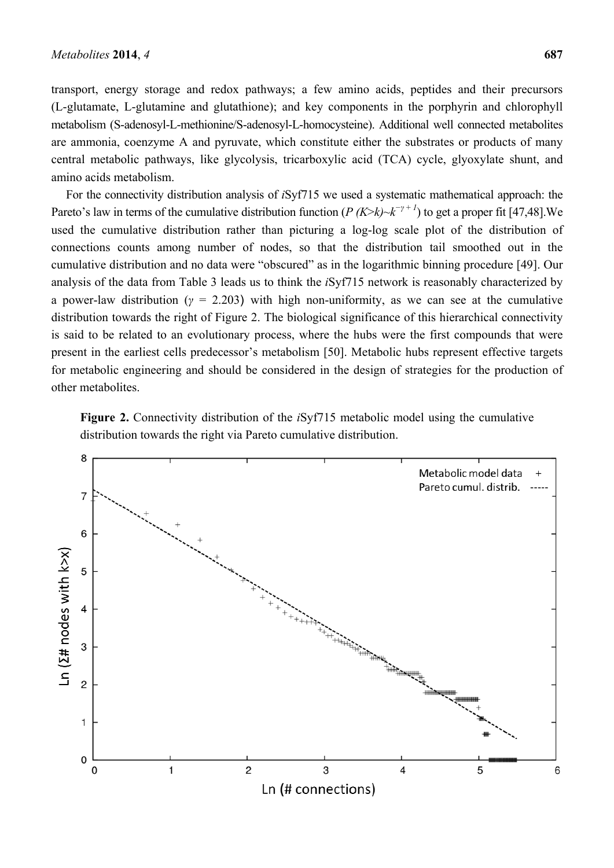transport, energy storage and redox pathways; a few amino acids, peptides and their precursors (L-glutamate, L-glutamine and glutathione); and key components in the porphyrin and chlorophyll metabolism (S-adenosyl-L-methionine/S-adenosyl-L-homocysteine). Additional well connected metabolites are ammonia, coenzyme A and pyruvate, which constitute either the substrates or products of many central metabolic pathways, like glycolysis, tricarboxylic acid (TCA) cycle, glyoxylate shunt, and amino acids metabolism.

For the connectivity distribution analysis of *i*Syf715 we used a systematic mathematical approach: the Pareto's law in terms of the cumulative distribution function (*P (K*>*k)~k−γ + 1*) to get a proper fit [47,48].We used the cumulative distribution rather than picturing a log-log scale plot of the distribution of connections counts among number of nodes, so that the distribution tail smoothed out in the cumulative distribution and no data were "obscured" as in the logarithmic binning procedure [49]. Our analysis of the data from Table 3 leads us to think the *i*Syf715 network is reasonably characterized by a power-law distribution ( $\gamma = 2.203$ ) with high non-uniformity, as we can see at the cumulative distribution towards the right of Figure 2. The biological significance of this hierarchical connectivity is said to be related to an evolutionary process, where the hubs were the first compounds that were present in the earliest cells predecessor's metabolism [50]. Metabolic hubs represent effective targets for metabolic engineering and should be considered in the design of strategies for the production of other metabolites.



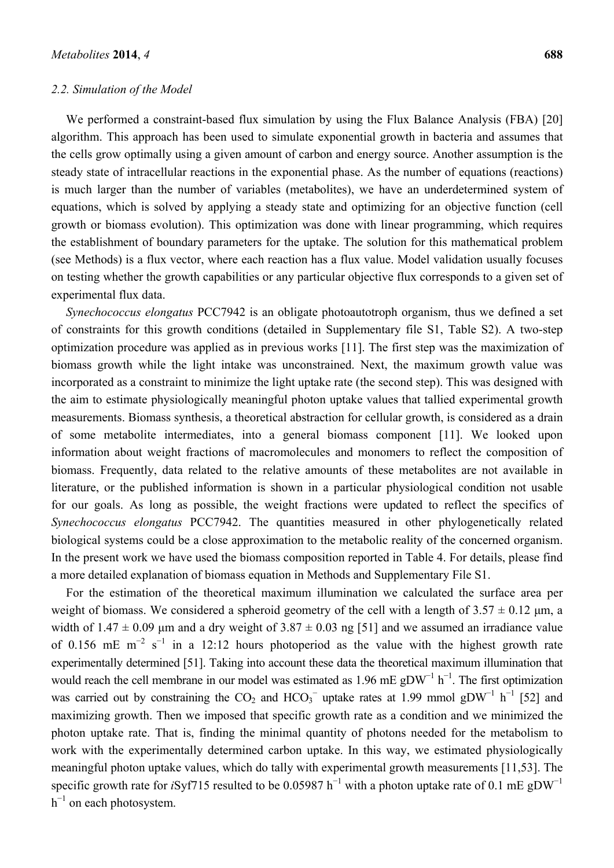#### *2.2. Simulation of the Model*

We performed a constraint-based flux simulation by using the Flux Balance Analysis (FBA) [20] algorithm. This approach has been used to simulate exponential growth in bacteria and assumes that the cells grow optimally using a given amount of carbon and energy source. Another assumption is the steady state of intracellular reactions in the exponential phase. As the number of equations (reactions) is much larger than the number of variables (metabolites), we have an underdetermined system of equations, which is solved by applying a steady state and optimizing for an objective function (cell growth or biomass evolution). This optimization was done with linear programming, which requires the establishment of boundary parameters for the uptake. The solution for this mathematical problem (see Methods) is a flux vector, where each reaction has a flux value. Model validation usually focuses on testing whether the growth capabilities or any particular objective flux corresponds to a given set of experimental flux data.

*Synechococcus elongatus* PCC7942 is an obligate photoautotroph organism, thus we defined a set of constraints for this growth conditions (detailed in Supplementary file S1, Table S2). A two-step optimization procedure was applied as in previous works [11]. The first step was the maximization of biomass growth while the light intake was unconstrained. Next, the maximum growth value was incorporated as a constraint to minimize the light uptake rate (the second step). This was designed with the aim to estimate physiologically meaningful photon uptake values that tallied experimental growth measurements. Biomass synthesis, a theoretical abstraction for cellular growth, is considered as a drain of some metabolite intermediates, into a general biomass component [11]. We looked upon information about weight fractions of macromolecules and monomers to reflect the composition of biomass. Frequently, data related to the relative amounts of these metabolites are not available in literature, or the published information is shown in a particular physiological condition not usable for our goals. As long as possible, the weight fractions were updated to reflect the specifics of *Synechococcus elongatus* PCC7942. The quantities measured in other phylogenetically related biological systems could be a close approximation to the metabolic reality of the concerned organism. In the present work we have used the biomass composition reported in Table 4. For details, please find a more detailed explanation of biomass equation in Methods and Supplementary File S1.

For the estimation of the theoretical maximum illumination we calculated the surface area per weight of biomass. We considered a spheroid geometry of the cell with a length of  $3.57 \pm 0.12$  µm, a width of  $1.47 \pm 0.09$  um and a dry weight of  $3.87 \pm 0.03$  ng [51] and we assumed an irradiance value of 0.156 mE  $m^{-2}$  s<sup>-1</sup> in a 12:12 hours photoperiod as the value with the highest growth rate experimentally determined [51]. Taking into account these data the theoretical maximum illumination that would reach the cell membrane in our model was estimated as 1.96 mE  $gDW^{-1}$  h<sup>-1</sup>. The first optimization was carried out by constraining the  $CO_2$  and  $HCO_3^-$  uptake rates at 1.99 mmol gDW<sup>-1</sup> h<sup>-1</sup> [52] and maximizing growth. Then we imposed that specific growth rate as a condition and we minimized the photon uptake rate. That is, finding the minimal quantity of photons needed for the metabolism to work with the experimentally determined carbon uptake. In this way, we estimated physiologically meaningful photon uptake values, which do tally with experimental growth measurements [11,53]. The specific growth rate for *i*Syf715 resulted to be 0.05987 h<sup>-1</sup> with a photon uptake rate of 0.1 mE gDW<sup>-1</sup>  $h^{-1}$  on each photosystem.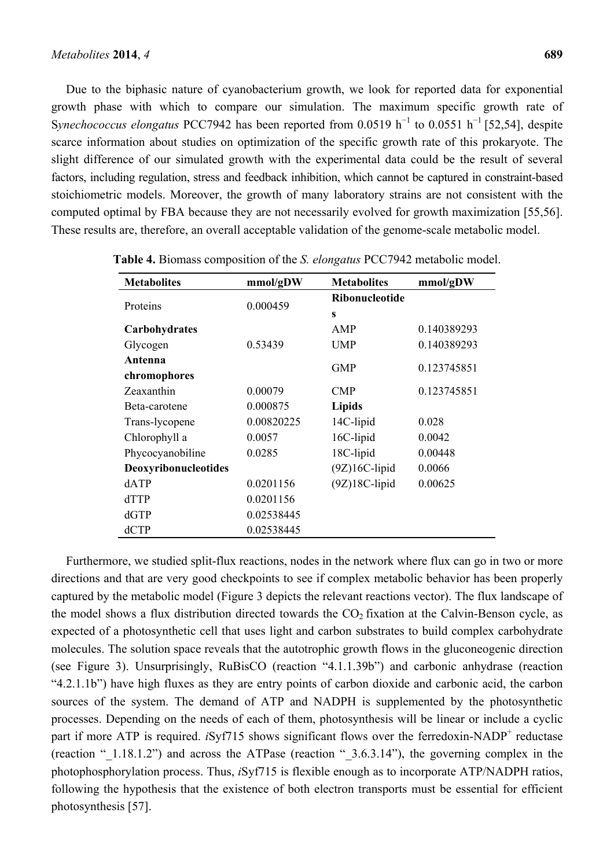Due to the biphasic nature of cyanobacterium growth, we look for reported data for exponential growth phase with which to compare our simulation. The maximum specific growth rate of Synechococcus elongatus PCC7942 has been reported from 0.0519 h<sup>-1</sup> to 0.0551 h<sup>-1</sup> [52,54], despite scarce information about studies on optimization of the specific growth rate of this prokaryote. The slight difference of our simulated growth with the experimental data could be the result of several factors, including regulation, stress and feedback inhibition, which cannot be captured in constraint-based stoichiometric models. Moreover, the growth of many laboratory strains are not consistent with the computed optimal by FBA because they are not necessarily evolved for growth maximization [55,56]. These results are, therefore, an overall acceptable validation of the genome-scale metabolic model.

| <b>Metabolites</b>   | mmol/gDW   | <b>Metabolites</b>    | mmol/gDW    |
|----------------------|------------|-----------------------|-------------|
| Proteins             | 0.000459   | <b>Ribonucleotide</b> |             |
|                      |            | $\bf{s}$              |             |
| Carbohydrates        |            | AMP                   | 0.140389293 |
| Glycogen             | 0.53439    | <b>UMP</b>            | 0.140389293 |
| Antenna              |            | <b>GMP</b>            |             |
| chromophores         |            |                       | 0.123745851 |
| Zeaxanthin           | 0.00079    | $\mathbf{CMP}$        | 0.123745851 |
| Beta-carotene        | 0.000875   | <b>Lipids</b>         |             |
| Trans-lycopene       | 0.00820225 | 14C-lipid             | 0.028       |
| Chlorophyll a        | 0.0057     | 16C-lipid             | 0.0042      |
| Phycocyanobiline     | 0.0285     | 18C-lipid             | 0.00448     |
| Deoxyribonucleotides |            | $(9Z)16C$ -lipid      | 0.0066      |
| dATP                 | 0.0201156  | $(9Z)18C$ -lipid      | 0.00625     |
| dTTP                 | 0.0201156  |                       |             |
| dGTP                 | 0.02538445 |                       |             |
| dCTP                 | 0.02538445 |                       |             |

**Table 4.** Biomass composition of the *S. elongatus* PCC7942 metabolic model.

Furthermore, we studied split-flux reactions, nodes in the network where flux can go in two or more directions and that are very good checkpoints to see if complex metabolic behavior has been properly captured by the metabolic model (Figure 3 depicts the relevant reactions vector). The flux landscape of the model shows a flux distribution directed towards the  $CO<sub>2</sub>$  fixation at the Calvin-Benson cycle, as expected of a photosynthetic cell that uses light and carbon substrates to build complex carbohydrate molecules. The solution space reveals that the autotrophic growth flows in the gluconeogenic direction (see Figure 3). Unsurprisingly, RuBisCO (reaction "4.1.1.39b") and carbonic anhydrase (reaction "4.2.1.1b") have high fluxes as they are entry points of carbon dioxide and carbonic acid, the carbon sources of the system. The demand of ATP and NADPH is supplemented by the photosynthetic processes. Depending on the needs of each of them, photosynthesis will be linear or include a cyclic part if more ATP is required.  $iSyf715$  shows significant flows over the ferredoxin-NADP<sup>+</sup> reductase (reaction " $1.18.1.2$ ") and across the ATPase (reaction " $3.6.3.14$ "), the governing complex in the photophosphorylation process. Thus, *i*Syf715 is flexible enough as to incorporate ATP/NADPH ratios, following the hypothesis that the existence of both electron transports must be essential for efficient photosynthesis [57].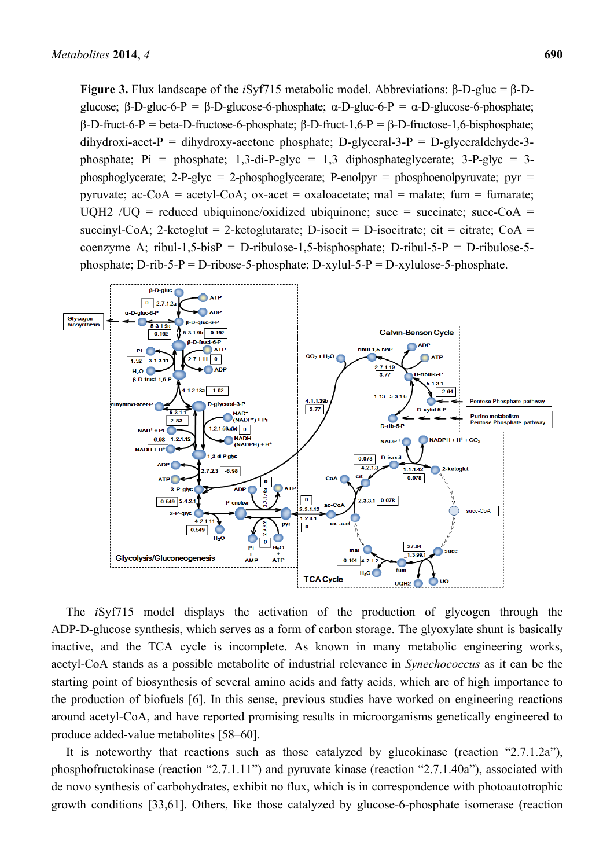**Figure 3.** Flux landscape of the *i*Syf715 metabolic model. Abbreviations: β-D-gluc = β-Dglucose; β-D-gluc-6-P = β-D-glucose-6-phosphate; α-D-gluc-6-P = α-D-glucose-6-phosphate; β-D-fruct-6-P = beta-D-fructose-6-phosphate; β-D-fruct-1,6-P = β-D-fructose-1,6-bisphosphate; dihydroxi-acet-P = dihydroxy-acetone phosphate; D-glyceral-3-P = D-glyceraldehyde-3phosphate;  $Pi =$  phosphate; 1,3-di-P-glyc = 1,3 diphosphateglycerate; 3-P-glyc = 3phosphoglycerate;  $2-P-glyc = 2-phosphoglycerate$ ;  $P-enolpyr = phosphoenolpyruvate$ ;  $pvr =$ pyruvate; ac-CoA = acetyl-CoA; ox-acet = oxaloacetate; mal = malate; fum = fumarate; UQH2 /UQ = reduced ubiquinone/oxidized ubiquinone; succ = succinate; succ-CoA = succinyl-CoA; 2-ketoglut = 2-ketoglutarate; D-isocit = D-isocitrate; cit = citrate;  $CoA =$ coenzyme A; ribul-1,5-bisP = D-ribulose-1,5-bisphosphate; D-ribul-5-P = D-ribulose-5phosphate; D-rib-5-P = D-ribose-5-phosphate; D-xylul-5-P = D-xylulose-5-phosphate.



The *i*Syf715 model displays the activation of the production of glycogen through the ADP-D-glucose synthesis, which serves as a form of carbon storage. The glyoxylate shunt is basically inactive, and the TCA cycle is incomplete. As known in many metabolic engineering works, acetyl-CoA stands as a possible metabolite of industrial relevance in *Synechococcus* as it can be the starting point of biosynthesis of several amino acids and fatty acids, which are of high importance to the production of biofuels [6]. In this sense, previous studies have worked on engineering reactions around acetyl-CoA, and have reported promising results in microorganisms genetically engineered to produce added-value metabolites [58–60].

It is noteworthy that reactions such as those catalyzed by glucokinase (reaction "2.7.1.2a"), phosphofructokinase (reaction "2.7.1.11") and pyruvate kinase (reaction "2.7.1.40a"), associated with de novo synthesis of carbohydrates, exhibit no flux, which is in correspondence with photoautotrophic growth conditions [33,61]. Others, like those catalyzed by glucose-6-phosphate isomerase (reaction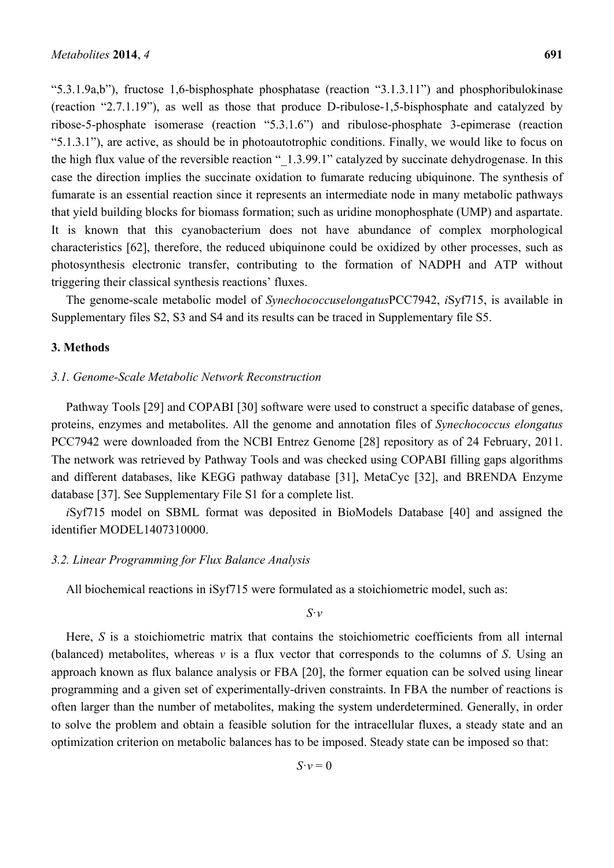"5.3.1.9a,b"), fructose 1,6-bisphosphate phosphatase (reaction "3.1.3.11") and phosphoribulokinase (reaction "2.7.1.19"), as well as those that produce D-ribulose-1,5-bisphosphate and catalyzed by ribose-5-phosphate isomerase (reaction "5.3.1.6") and ribulose-phosphate 3-epimerase (reaction "5.1.3.1"), are active, as should be in photoautotrophic conditions. Finally, we would like to focus on the high flux value of the reversible reaction " 1.3.99.1" catalyzed by succinate dehydrogenase. In this case the direction implies the succinate oxidation to fumarate reducing ubiquinone. The synthesis of fumarate is an essential reaction since it represents an intermediate node in many metabolic pathways that yield building blocks for biomass formation; such as uridine monophosphate (UMP) and aspartate. It is known that this cyanobacterium does not have abundance of complex morphological characteristics [62], therefore, the reduced ubiquinone could be oxidized by other processes, such as photosynthesis electronic transfer, contributing to the formation of NADPH and ATP without triggering their classical synthesis reactions' fluxes.

The genome-scale metabolic model of *Synechococcuselongatus*PCC7942, *i*Syf715, is available in Supplementary files S2, S3 and S4 and its results can be traced in Supplementary file S5.

# **3. Methods**

# *3.1. Genome-Scale Metabolic Network Reconstruction*

Pathway Tools [29] and COPABI [30] software were used to construct a specific database of genes, proteins, enzymes and metabolites. All the genome and annotation files of *Synechococcus elongatus* PCC7942 were downloaded from the NCBI Entrez Genome [28] repository as of 24 February, 2011. The network was retrieved by Pathway Tools and was checked using COPABI filling gaps algorithms and different databases, like KEGG pathway database [31], MetaCyc [32], and BRENDA Enzyme database [37]. See Supplementary File S1 for a complete list.

*i*Syf715 model on SBML format was deposited in BioModels Database [40] and assigned the identifier MODEL1407310000.

# *3.2. Linear Programming for Flux Balance Analysis*

All biochemical reactions in iSyf715 were formulated as a stoichiometric model, such as:

*S*·*v*

Here, *S* is a stoichiometric matrix that contains the stoichiometric coefficients from all internal (balanced) metabolites, whereas *v* is a flux vector that corresponds to the columns of *S*. Using an approach known as flux balance analysis or FBA [20], the former equation can be solved using linear programming and a given set of experimentally-driven constraints. In FBA the number of reactions is often larger than the number of metabolites, making the system underdetermined. Generally, in order to solve the problem and obtain a feasible solution for the intracellular fluxes, a steady state and an optimization criterion on metabolic balances has to be imposed. Steady state can be imposed so that:

 $S \cdot v = 0$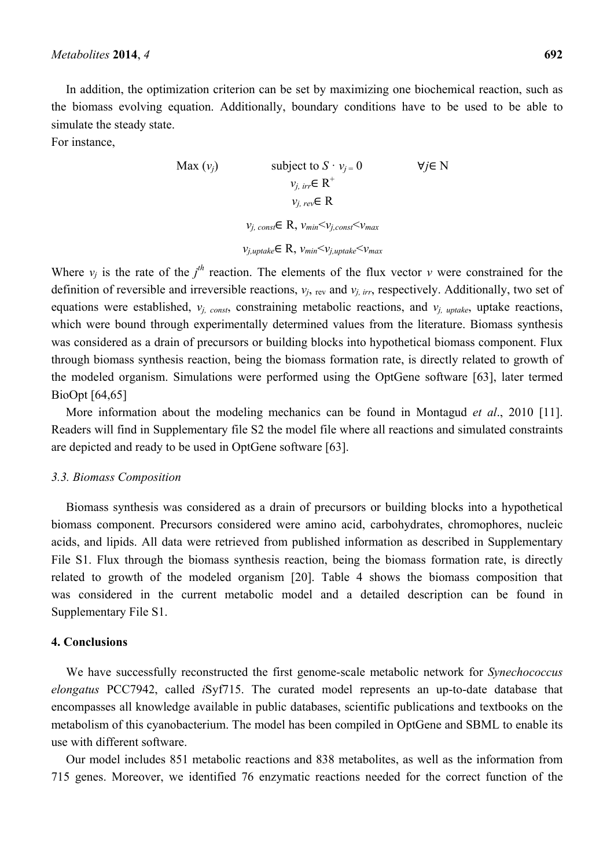In addition, the optimization criterion can be set by maximizing one biochemical reaction, such as the biomass evolving equation. Additionally, boundary conditions have to be used to be able to simulate the steady state.

For instance,

Max  $(v_i)$  subject to  $S \cdot v_i = 0$   $\forall j \in \mathbb{N}$  $v_{i, irr}$ ∈ R<sup>+</sup> *vj, rev*∈ R  $v_i$ , const∈ R,  $v_{min} < v_{i,const} < v_{max}$ 

$$
v_{j,uptake} \in R
$$
,  $v_{min} < v_{j,uptake} < v_{max}$ 

Where  $v_j$  is the rate of the  $j<sup>th</sup>$  reaction. The elements of the flux vector *v* were constrained for the definition of reversible and irreversible reactions,  $v_i$ ,  $_{rev}$  and  $v_i$ ,  $_{irr}$ , respectively. Additionally, two set of equations were established, *vj, const*, constraining metabolic reactions, and *vj, uptake*, uptake reactions, which were bound through experimentally determined values from the literature. Biomass synthesis was considered as a drain of precursors or building blocks into hypothetical biomass component. Flux through biomass synthesis reaction, being the biomass formation rate, is directly related to growth of the modeled organism. Simulations were performed using the OptGene software [63], later termed BioOpt [64,65]

More information about the modeling mechanics can be found in Montagud *et al*., 2010 [11]. Readers will find in Supplementary file S2 the model file where all reactions and simulated constraints are depicted and ready to be used in OptGene software [63].

#### *3.3. Biomass Composition*

Biomass synthesis was considered as a drain of precursors or building blocks into a hypothetical biomass component. Precursors considered were amino acid, carbohydrates, chromophores, nucleic acids, and lipids. All data were retrieved from published information as described in Supplementary File S1. Flux through the biomass synthesis reaction, being the biomass formation rate, is directly related to growth of the modeled organism [20]. Table 4 shows the biomass composition that was considered in the current metabolic model and a detailed description can be found in Supplementary File S1.

# **4. Conclusions**

We have successfully reconstructed the first genome-scale metabolic network for *Synechococcus elongatus* PCC7942, called *i*Syf715. The curated model represents an up-to-date database that encompasses all knowledge available in public databases, scientific publications and textbooks on the metabolism of this cyanobacterium. The model has been compiled in OptGene and SBML to enable its use with different software.

Our model includes 851 metabolic reactions and 838 metabolites, as well as the information from 715 genes. Moreover, we identified 76 enzymatic reactions needed for the correct function of the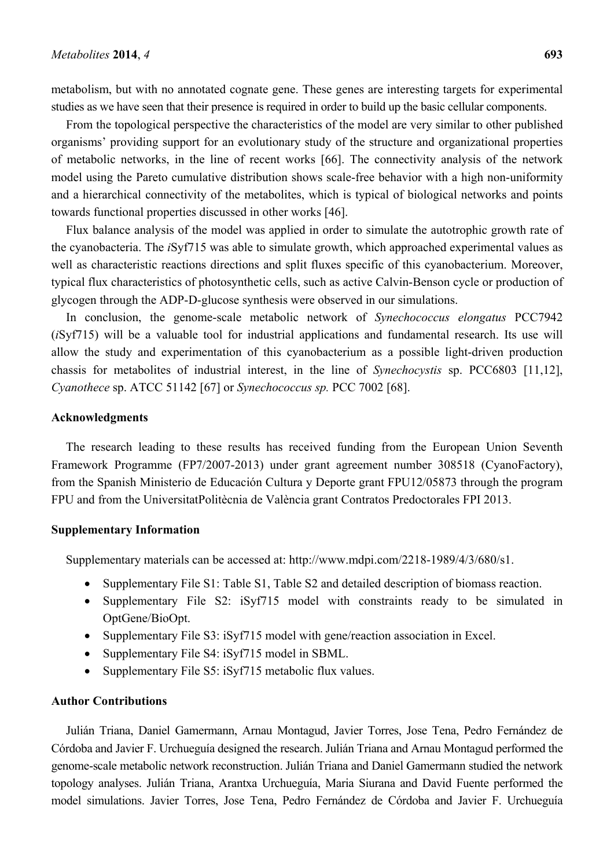metabolism, but with no annotated cognate gene. These genes are interesting targets for experimental studies as we have seen that their presence is required in order to build up the basic cellular components.

From the topological perspective the characteristics of the model are very similar to other published organisms' providing support for an evolutionary study of the structure and organizational properties of metabolic networks, in the line of recent works [66]. The connectivity analysis of the network model using the Pareto cumulative distribution shows scale-free behavior with a high non-uniformity and a hierarchical connectivity of the metabolites, which is typical of biological networks and points towards functional properties discussed in other works [46].

Flux balance analysis of the model was applied in order to simulate the autotrophic growth rate of the cyanobacteria. The *i*Syf715 was able to simulate growth, which approached experimental values as well as characteristic reactions directions and split fluxes specific of this cyanobacterium. Moreover, typical flux characteristics of photosynthetic cells, such as active Calvin-Benson cycle or production of glycogen through the ADP-D-glucose synthesis were observed in our simulations.

In conclusion, the genome-scale metabolic network of *Synechococcus elongatus* PCC7942 (*i*Syf715) will be a valuable tool for industrial applications and fundamental research. Its use will allow the study and experimentation of this cyanobacterium as a possible light-driven production chassis for metabolites of industrial interest, in the line of *Synechocystis* sp. PCC6803 [11,12], *Cyanothece* sp. ATCC 51142 [67] or *Synechococcus sp.* PCC 7002 [68].

# **Acknowledgments**

The research leading to these results has received funding from the European Union Seventh Framework Programme (FP7/2007-2013) under grant agreement number 308518 (CyanoFactory), from the Spanish Ministerio de Educación Cultura y Deporte grant FPU12/05873 through the program FPU and from the UniversitatPolitècnia de València grant Contratos Predoctorales FPI 2013.

## **Supplementary Information**

Supplementary materials can be accessed at: http://www.mdpi.com/2218-1989/4/3/680/s1.

- Supplementary File S1: Table S1, Table S2 and detailed description of biomass reaction.
- Supplementary File S2: iSyf715 model with constraints ready to be simulated in OptGene/BioOpt.
- Supplementary File S3: iSyf715 model with gene/reaction association in Excel.
- Supplementary File S4: iSyf715 model in SBML.
- Supplementary File S5: iSyf715 metabolic flux values.

## **Author Contributions**

Julián Triana, Daniel Gamermann, Arnau Montagud, Javier Torres, Jose Tena, Pedro Fernández de Córdoba and Javier F. Urchueguía designed the research. Julián Triana and Arnau Montagud performed the genome-scale metabolic network reconstruction. Julián Triana and Daniel Gamermann studied the network topology analyses. Julián Triana, Arantxa Urchueguía, Maria Siurana and David Fuente performed the model simulations. Javier Torres, Jose Tena, Pedro Fernández de Córdoba and Javier F. Urchueguía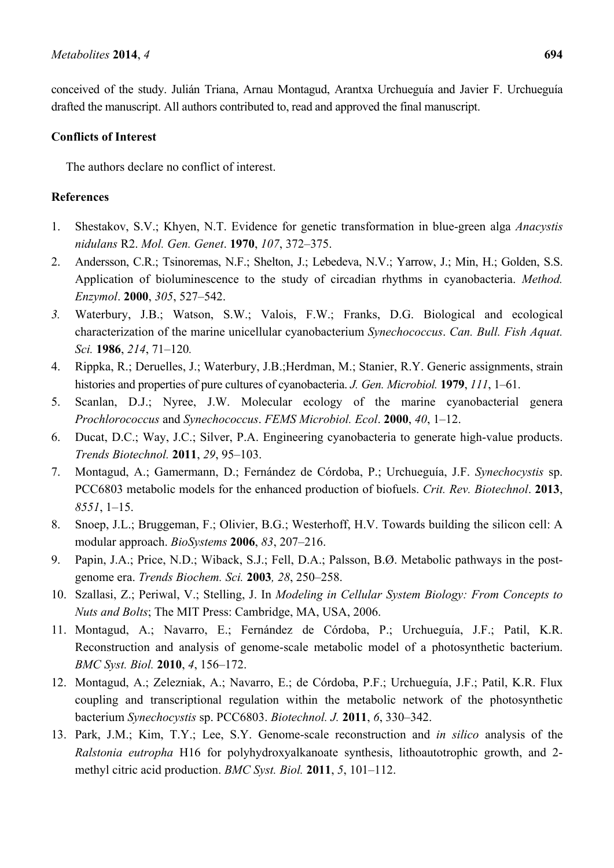conceived of the study. Julián Triana, Arnau Montagud, Arantxa Urchueguía and Javier F. Urchueguía drafted the manuscript. All authors contributed to, read and approved the final manuscript.

# **Conflicts of Interest**

The authors declare no conflict of interest.

# **References**

- 1. Shestakov, S.V.; Khyen, N.T. Evidence for genetic transformation in blue-green alga *Anacystis nidulans* R2. *Mol. Gen. Genet*. **1970**, *107*, 372–375.
- 2. Andersson, C.R.; Tsinoremas, N.F.; Shelton, J.; Lebedeva, N.V.; Yarrow, J.; Min, H.; Golden, S.S. Application of bioluminescence to the study of circadian rhythms in cyanobacteria. *Method. Enzymol*. **2000**, *305*, 527–542.
- *3.* Waterbury, J.B.; Watson, S.W.; Valois, F.W.; Franks, D.G. Biological and ecological characterization of the marine unicellular cyanobacterium *Synechococcus*. *Can. Bull. Fish Aquat. Sci.* **1986**, *214*, 71–120*.*
- 4. Rippka, R.; Deruelles, J.; Waterbury, J.B.;Herdman, M.; Stanier, R.Y. Generic assignments, strain histories and properties of pure cultures of cyanobacteria. *J. Gen. Microbiol.* **1979**, *111*, 1–61.
- 5. Scanlan, D.J.; Nyree, J.W. Molecular ecology of the marine cyanobacterial genera *Prochlorococcus* and *Synechococcus*. *FEMS Microbiol. Ecol*. **2000**, *40*, 1–12.
- 6. Ducat, D.C.; Way, J.C.; Silver, P.A. Engineering cyanobacteria to generate high-value products. *Trends Biotechnol.* **2011**, *29*, 95–103.
- 7. Montagud, A.; Gamermann, D.; Fernández de Córdoba, P.; Urchueguía, J.F. *Synechocystis* sp. PCC6803 metabolic models for the enhanced production of biofuels. *Crit. Rev. Biotechnol*. **2013**, *8551*, 1–15.
- 8. Snoep, J.L.; Bruggeman, F.; Olivier, B.G.; Westerhoff, H.V. Towards building the silicon cell: A modular approach. *BioSystems* **2006**, *83*, 207–216.
- 9. Papin, J.A.; Price, N.D.; Wiback, S.J.; Fell, D.A.; Palsson, B.Ø. Metabolic pathways in the postgenome era. *Trends Biochem. Sci.* **2003***, 28*, 250–258.
- 10. Szallasi, Z.; Periwal, V.; Stelling, J. In *Modeling in Cellular System Biology: From Concepts to Nuts and Bolts*; The MIT Press: Cambridge, MA, USA, 2006.
- 11. Montagud, A.; Navarro, E.; Fernández de Córdoba, P.; Urchueguía, J.F.; Patil, K.R. Reconstruction and analysis of genome-scale metabolic model of a photosynthetic bacterium. *BMC Syst. Biol.* **2010**, *4*, 156–172.
- 12. Montagud, A.; Zelezniak, A.; Navarro, E.; de Córdoba, P.F.; Urchueguía, J.F.; Patil, K.R. Flux coupling and transcriptional regulation within the metabolic network of the photosynthetic bacterium *Synechocystis* sp. PCC6803. *Biotechnol. J.* **2011**, *6*, 330–342.
- 13. Park, J.M.; Kim, T.Y.; Lee, S.Y. Genome-scale reconstruction and *in silico* analysis of the *Ralstonia eutropha* H16 for polyhydroxyalkanoate synthesis, lithoautotrophic growth, and 2 methyl citric acid production. *BMC Syst. Biol.* **2011**, *5*, 101–112.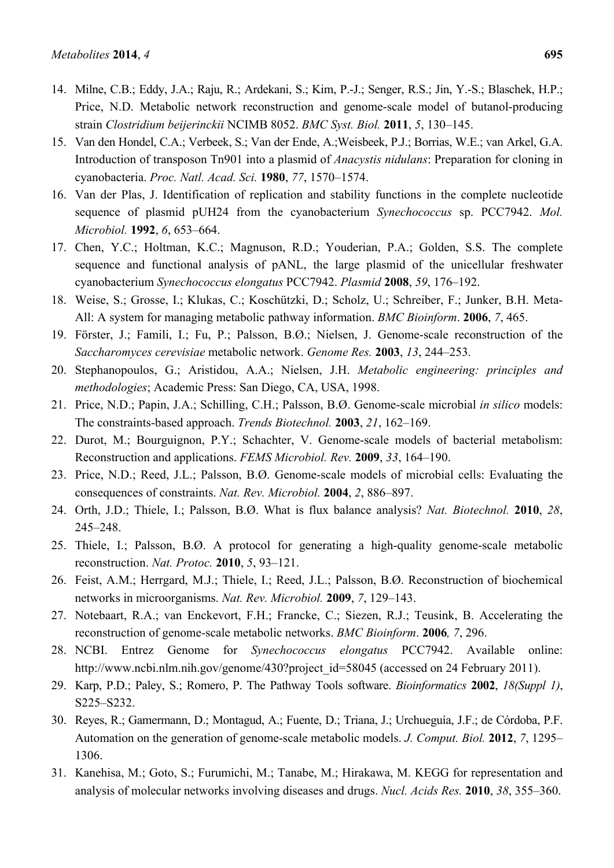- 14. Milne, C.B.; Eddy, J.A.; Raju, R.; Ardekani, S.; Kim, P.-J.; Senger, R.S.; Jin, Y.-S.; Blaschek, H.P.; Price, N.D. Metabolic network reconstruction and genome-scale model of butanol-producing strain *Clostridium beijerinckii* NCIMB 8052. *BMC Syst. Biol.* **2011**, *5*, 130–145.
- 15. Van den Hondel, C.A.; Verbeek, S.; Van der Ende, A.;Weisbeek, P.J.; Borrias, W.E.; van Arkel, G.A. Introduction of transposon Tn901 into a plasmid of *Anacystis nidulans*: Preparation for cloning in cyanobacteria. *Proc. Natl. Acad. Sci.* **1980**, *77*, 1570–1574.
- 16. Van der Plas, J. Identification of replication and stability functions in the complete nucleotide sequence of plasmid pUH24 from the cyanobacterium *Synechococcus* sp. PCC7942. *Mol. Microbiol.* **1992**, *6*, 653–664.
- 17. Chen, Y.C.; Holtman, K.C.; Magnuson, R.D.; Youderian, P.A.; Golden, S.S. The complete sequence and functional analysis of pANL, the large plasmid of the unicellular freshwater cyanobacterium *Synechococcus elongatus* PCC7942. *Plasmid* **2008**, *59*, 176–192.
- 18. Weise, S.; Grosse, I.; Klukas, C.; Koschützki, D.; Scholz, U.; Schreiber, F.; Junker, B.H. Meta-All: A system for managing metabolic pathway information. *BMC Bioinform*. **2006**, *7*, 465.
- 19. Förster, J.; Famili, I.; Fu, P.; Palsson, B.Ø.; Nielsen, J. Genome-scale reconstruction of the *Saccharomyces cerevisiae* metabolic network. *Genome Res.* **2003**, *13*, 244–253.
- 20. Stephanopoulos, G.; Aristidou, A.A.; Nielsen, J.H. *Metabolic engineering: principles and methodologies*; Academic Press: San Diego, CA, USA, 1998.
- 21. Price, N.D.; Papin, J.A.; Schilling, C.H.; Palsson, B.Ø. Genome-scale microbial *in silico* models: The constraints-based approach. *Trends Biotechnol.* **2003**, *21*, 162–169.
- 22. Durot, M.; Bourguignon, P.Y.; Schachter, V. Genome-scale models of bacterial metabolism: Reconstruction and applications. *FEMS Microbiol. Rev.* **2009**, *33*, 164–190.
- 23. Price, N.D.; Reed, J.L.; Palsson, B.Ø. Genome-scale models of microbial cells: Evaluating the consequences of constraints. *Nat. Rev. Microbiol.* **2004**, *2*, 886–897.
- 24. Orth, J.D.; Thiele, I.; Palsson, B.Ø. What is flux balance analysis? *Nat. Biotechnol.* **2010**, *28*, 245–248.
- 25. Thiele, I.; Palsson, B.Ø. A protocol for generating a high-quality genome-scale metabolic reconstruction. *Nat. Protoc.* **2010**, *5*, 93–121.
- 26. Feist, A.M.; Herrgard, M.J.; Thiele, I.; Reed, J.L.; Palsson, B.Ø. Reconstruction of biochemical networks in microorganisms. *Nat. Rev. Microbiol.* **2009**, *7*, 129–143.
- 27. Notebaart, R.A.; van Enckevort, F.H.; Francke, C.; Siezen, R.J.; Teusink, B. Accelerating the reconstruction of genome-scale metabolic networks. *BMC Bioinform*. **2006***, 7*, 296.
- 28. NCBI. Entrez Genome for *Synechococcus elongatus* PCC7942. Available online: http://www.ncbi.nlm.nih.gov/genome/430?project\_id=58045 (accessed on 24 February 2011).
- 29. Karp, P.D.; Paley, S.; Romero, P. The Pathway Tools software. *Bioinformatics* **2002**, *18(Suppl 1)*, S225–S232.
- 30. Reyes, R.; Gamermann, D.; Montagud, A.; Fuente, D.; Triana, J.; Urchueguía, J.F.; de Córdoba, P.F. Automation on the generation of genome-scale metabolic models. *J. Comput. Biol.* **2012**, *7*, 1295– 1306.
- 31. Kanehisa, M.; Goto, S.; Furumichi, M.; Tanabe, M.; Hirakawa, M. KEGG for representation and analysis of molecular networks involving diseases and drugs. *Nucl. Acids Res.* **2010**, *38*, 355–360.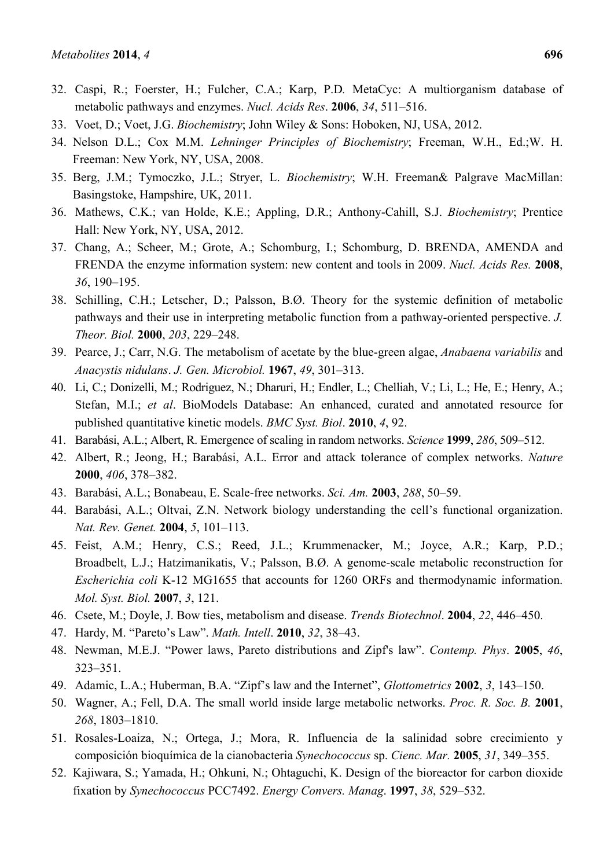- 32. Caspi, R.; Foerster, H.; Fulcher, C.A.; Karp, P.D*.* MetaCyc: A multiorganism database of metabolic pathways and enzymes. *Nucl. Acids Res*. **2006**, *34*, 511–516.
- 33. Voet, D.; Voet, J.G. *Biochemistry*; John Wiley & Sons: Hoboken, NJ, USA, 2012.
- 34. Nelson D.L.; Cox M.M. *Lehninger Principles of Biochemistry*; Freeman, W.H., Ed.;W. H. Freeman: New York, NY, USA, 2008.
- 35. Berg, J.M.; Tymoczko, J.L.; Stryer, L. *Biochemistry*; W.H. Freeman& Palgrave MacMillan: Basingstoke, Hampshire, UK, 2011.
- 36. Mathews, C.K.; van Holde, K.E.; Appling, D.R.; Anthony-Cahill, S.J. *Biochemistry*; Prentice Hall: New York, NY, USA, 2012.
- 37. Chang, A.; Scheer, M.; Grote, A.; Schomburg, I.; Schomburg, D. BRENDA, AMENDA and FRENDA the enzyme information system: new content and tools in 2009. *Nucl. Acids Res.* **2008**, *36*, 190–195.
- 38. Schilling, C.H.; Letscher, D.; Palsson, B.Ø. Theory for the systemic definition of metabolic pathways and their use in interpreting metabolic function from a pathway-oriented perspective. *J. Theor. Biol.* **2000**, *203*, 229–248.
- 39. Pearce, J.; Carr, N.G. The metabolism of acetate by the blue-green algae, *Anabaena variabilis* and *Anacystis nidulans*. *J. Gen. Microbiol.* **1967**, *49*, 301–313.
- 40. Li, C.; Donizelli, M.; Rodriguez, N.; Dharuri, H.; Endler, L.; Chelliah, V.; Li, L.; He, E.; Henry, A.; Stefan, M.I.; *et al*. BioModels Database: An enhanced, curated and annotated resource for published quantitative kinetic models. *BMC Syst. Biol*. **2010**, *4*, 92.
- 41. Barabási, A.L.; Albert, R. Emergence of scaling in random networks. *Science* **1999**, *286*, 509–512.
- 42. Albert, R.; Jeong, H.; Barabási, A.L. Error and attack tolerance of complex networks. *Nature*  **2000**, *406*, 378–382.
- 43. Barabási, A.L.; Bonabeau, E. Scale-free networks. *Sci. Am.* **2003**, *288*, 50–59.
- 44. Barabási, A.L.; Oltvai, Z.N. Network biology understanding the cell's functional organization. *Nat. Rev. Genet.* **2004**, *5*, 101–113.
- 45. Feist, A.M.; Henry, C.S.; Reed, J.L.; Krummenacker, M.; Joyce, A.R.; Karp, P.D.; Broadbelt, L.J.; Hatzimanikatis, V.; Palsson, B.Ø. A genome-scale metabolic reconstruction for *Escherichia coli* K-12 MG1655 that accounts for 1260 ORFs and thermodynamic information. *Mol. Syst. Biol.* **2007**, *3*, 121.
- 46. Csete, M.; Doyle, J. Bow ties, metabolism and disease. *Trends Biotechnol*. **2004**, *22*, 446–450.
- 47. Hardy, M. "Pareto's Law". *Math. Intell*. **2010**, *32*, 38–43.
- 48. Newman, M.E.J. "Power laws, Pareto distributions and Zipf's law". *Contemp. Phys*. **2005**, *46*, 323–351.
- 49. Adamic, L.A.; Huberman, B.A. "Zipf's law and the Internet", *Glottometrics* **2002**, *3*, 143–150.
- 50. Wagner, A.; Fell, D.A. The small world inside large metabolic networks. *Proc. R. Soc. B.* **2001**, *268*, 1803–1810.
- 51. Rosales-Loaiza, N.; Ortega, J.; Mora, R. Influencia de la salinidad sobre crecimiento y composición bioquímica de la cianobacteria *Synechococcus* sp. *Cienc. Mar.* **2005**, *31*, 349–355.
- 52. Kajiwara, S.; Yamada, H.; Ohkuni, N.; Ohtaguchi, K. Design of the bioreactor for carbon dioxide fixation by *Synechococcus* PCC7492. *Energy Convers. Manag*. **1997**, *38*, 529–532.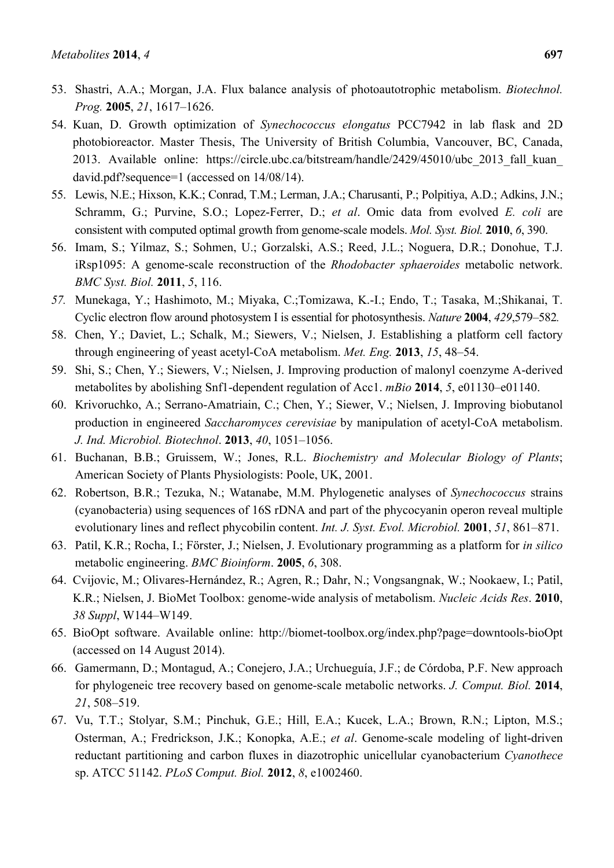- 53. Shastri, A.A.; Morgan, J.A. Flux balance analysis of photoautotrophic metabolism. *Biotechnol. Prog.* **2005**, *21*, 1617–1626.
- 54. Kuan, D. Growth optimization of *Synechococcus elongatus* PCC7942 in lab flask and 2D photobioreactor. Master Thesis, The University of British Columbia, Vancouver, BC, Canada, 2013. Available online: https://circle.ubc.ca/bitstream/handle/2429/45010/ubc\_2013\_fall\_kuan\_ david.pdf?sequence=1 (accessed on 14/08/14).
- 55. Lewis, N.E.; Hixson, K.K.; Conrad, T.M.; Lerman, J.A.; Charusanti, P.; Polpitiya, A.D.; Adkins, J.N.; Schramm, G.; Purvine, S.O.; Lopez-Ferrer, D.; *et al*. Omic data from evolved *E. coli* are consistent with computed optimal growth from genome-scale models. *Mol. Syst. Biol.* **2010**, *6*, 390.
- 56. Imam, S.; Yilmaz, S.; Sohmen, U.; Gorzalski, A.S.; Reed, J.L.; Noguera, D.R.; Donohue, T.J. iRsp1095: A genome-scale reconstruction of the *Rhodobacter sphaeroides* metabolic network. *BMC Syst. Biol.* **2011**, *5*, 116.
- *57.* Munekaga, Y.; Hashimoto, M.; Miyaka, C.;Tomizawa, K.-I.; Endo, T.; Tasaka, M.;Shikanai, T. Cyclic electron flow around photosystem I is essential for photosynthesis. *Nature* **2004**, *429*,579–582*.*
- 58. Chen, Y.; Daviet, L.; Schalk, M.; Siewers, V.; Nielsen, J. Establishing a platform cell factory through engineering of yeast acetyl-CoA metabolism. *Met. Eng.* **2013**, *15*, 48–54.
- 59. Shi, S.; Chen, Y.; Siewers, V.; Nielsen, J. Improving production of malonyl coenzyme A-derived metabolites by abolishing Snf1-dependent regulation of Acc1. *mBio* **2014**, *5*, e01130–e01140.
- 60. Krivoruchko, A.; Serrano-Amatriain, C.; Chen, Y.; Siewer, V.; Nielsen, J. Improving biobutanol production in engineered *Saccharomyces cerevisiae* by manipulation of acetyl-CoA metabolism. *J. Ind. Microbiol. Biotechnol*. **2013**, *40*, 1051–1056.
- 61. Buchanan, B.B.; Gruissem, W.; Jones, R.L. *Biochemistry and Molecular Biology of Plants*; American Society of Plants Physiologists: Poole, UK, 2001.
- 62. Robertson, B.R.; Tezuka, N.; Watanabe, M.M. Phylogenetic analyses of *Synechococcus* strains (cyanobacteria) using sequences of 16S rDNA and part of the phycocyanin operon reveal multiple evolutionary lines and reflect phycobilin content. *Int. J. Syst. Evol. Microbiol.* **2001**, *51*, 861–871.
- 63. Patil, K.R.; Rocha, I.; Förster, J.; Nielsen, J. Evolutionary programming as a platform for *in silico* metabolic engineering. *BMC Bioinform*. **2005**, *6*, 308.
- 64. Cvijovic, M.; Olivares-Hernández, R.; Agren, R.; Dahr, N.; Vongsangnak, W.; Nookaew, I.; Patil, K.R.; Nielsen, J. BioMet Toolbox: genome-wide analysis of metabolism. *Nucleic Acids Res*. **2010**, *38 Suppl*, W144–W149.
- 65. BioOpt software. Available online: http://biomet-toolbox.org/index.php?page=downtools-bioOpt (accessed on 14 August 2014).
- 66. Gamermann, D.; Montagud, A.; Conejero, J.A.; Urchueguía, J.F.; de Córdoba, P.F. New approach for phylogeneic tree recovery based on genome-scale metabolic networks. *J. Comput. Biol.* **2014**, *21*, 508–519.
- 67. Vu, T.T.; Stolyar, S.M.; Pinchuk, G.E.; Hill, E.A.; Kucek, L.A.; Brown, R.N.; Lipton, M.S.; Osterman, A.; Fredrickson, J.K.; Konopka, A.E.; *et al*. Genome-scale modeling of light-driven reductant partitioning and carbon fluxes in diazotrophic unicellular cyanobacterium *Cyanothece*  sp. ATCC 51142. *PLoS Comput. Biol.* **2012**, *8*, e1002460.